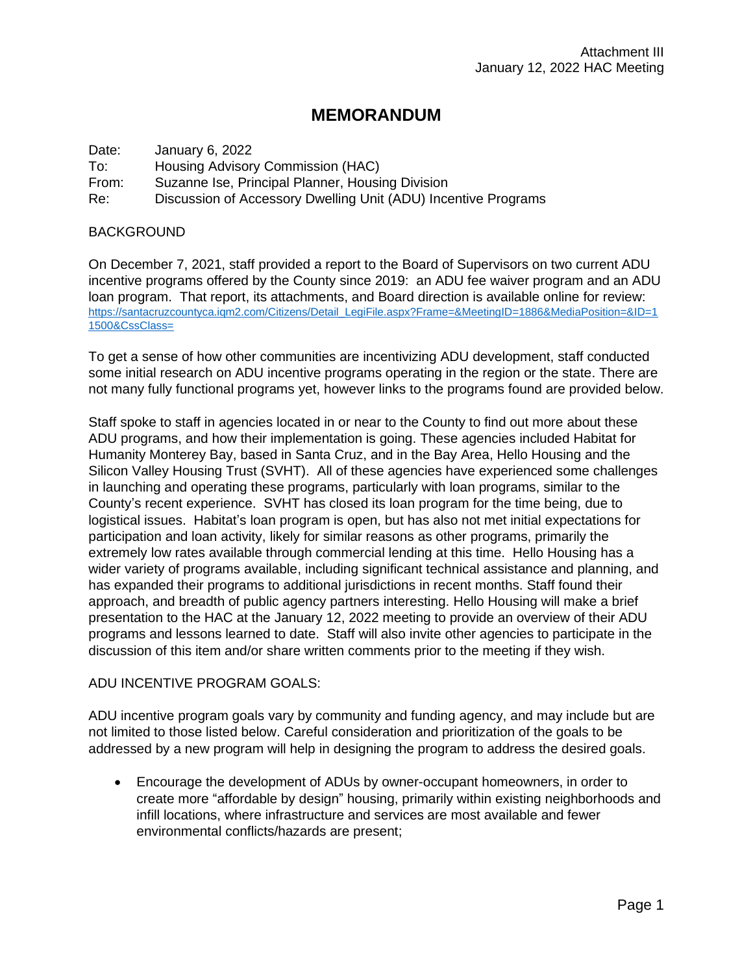## **MEMORANDUM**

| Date: | January 6, 2022                                                |
|-------|----------------------------------------------------------------|
| To:   | Housing Advisory Commission (HAC)                              |
| From: | Suzanne Ise, Principal Planner, Housing Division               |
| Re:   | Discussion of Accessory Dwelling Unit (ADU) Incentive Programs |

## **BACKGROUND**

On December 7, 2021, staff provided a report to the Board of Supervisors on two current ADU incentive programs offered by the County since 2019: an ADU fee waiver program and an ADU loan program. That report, its attachments, and Board direction is available online for review: [https://santacruzcountyca.iqm2.com/Citizens/Detail\\_LegiFile.aspx?Frame=&MeetingID=1886&MediaPosition=&ID=1](https://santacruzcountyca.iqm2.com/Citizens/Detail_LegiFile.aspx?Frame=&MeetingID=1886&MediaPosition=&ID=11500&CssClass=) [1500&CssClass=](https://santacruzcountyca.iqm2.com/Citizens/Detail_LegiFile.aspx?Frame=&MeetingID=1886&MediaPosition=&ID=11500&CssClass=)

To get a sense of how other communities are incentivizing ADU development, staff conducted some initial research on ADU incentive programs operating in the region or the state. There are not many fully functional programs yet, however links to the programs found are provided below.

Staff spoke to staff in agencies located in or near to the County to find out more about these ADU programs, and how their implementation is going. These agencies included Habitat for Humanity Monterey Bay, based in Santa Cruz, and in the Bay Area, Hello Housing and the Silicon Valley Housing Trust (SVHT). All of these agencies have experienced some challenges in launching and operating these programs, particularly with loan programs, similar to the County's recent experience. SVHT has closed its loan program for the time being, due to logistical issues. Habitat's loan program is open, but has also not met initial expectations for participation and loan activity, likely for similar reasons as other programs, primarily the extremely low rates available through commercial lending at this time. Hello Housing has a wider variety of programs available, including significant technical assistance and planning, and has expanded their programs to additional jurisdictions in recent months. Staff found their approach, and breadth of public agency partners interesting. Hello Housing will make a brief presentation to the HAC at the January 12, 2022 meeting to provide an overview of their ADU programs and lessons learned to date. Staff will also invite other agencies to participate in the discussion of this item and/or share written comments prior to the meeting if they wish.

## ADU INCENTIVE PROGRAM GOALS:

ADU incentive program goals vary by community and funding agency, and may include but are not limited to those listed below. Careful consideration and prioritization of the goals to be addressed by a new program will help in designing the program to address the desired goals.

• Encourage the development of ADUs by owner-occupant homeowners, in order to create more "affordable by design" housing, primarily within existing neighborhoods and infill locations, where infrastructure and services are most available and fewer environmental conflicts/hazards are present;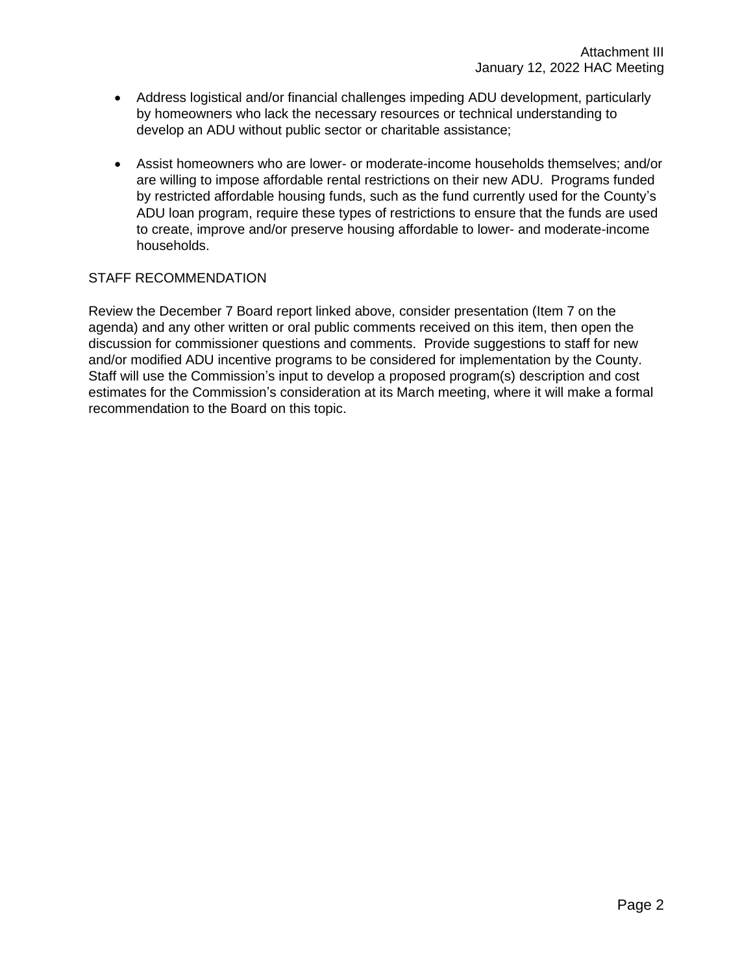- Address logistical and/or financial challenges impeding ADU development, particularly by homeowners who lack the necessary resources or technical understanding to develop an ADU without public sector or charitable assistance;
- Assist homeowners who are lower- or moderate-income households themselves; and/or are willing to impose affordable rental restrictions on their new ADU. Programs funded by restricted affordable housing funds, such as the fund currently used for the County's ADU loan program, require these types of restrictions to ensure that the funds are used to create, improve and/or preserve housing affordable to lower- and moderate-income households.

## STAFF RECOMMENDATION

Review the December 7 Board report linked above, consider presentation (Item 7 on the agenda) and any other written or oral public comments received on this item, then open the discussion for commissioner questions and comments. Provide suggestions to staff for new and/or modified ADU incentive programs to be considered for implementation by the County. Staff will use the Commission's input to develop a proposed program(s) description and cost estimates for the Commission's consideration at its March meeting, where it will make a formal recommendation to the Board on this topic.